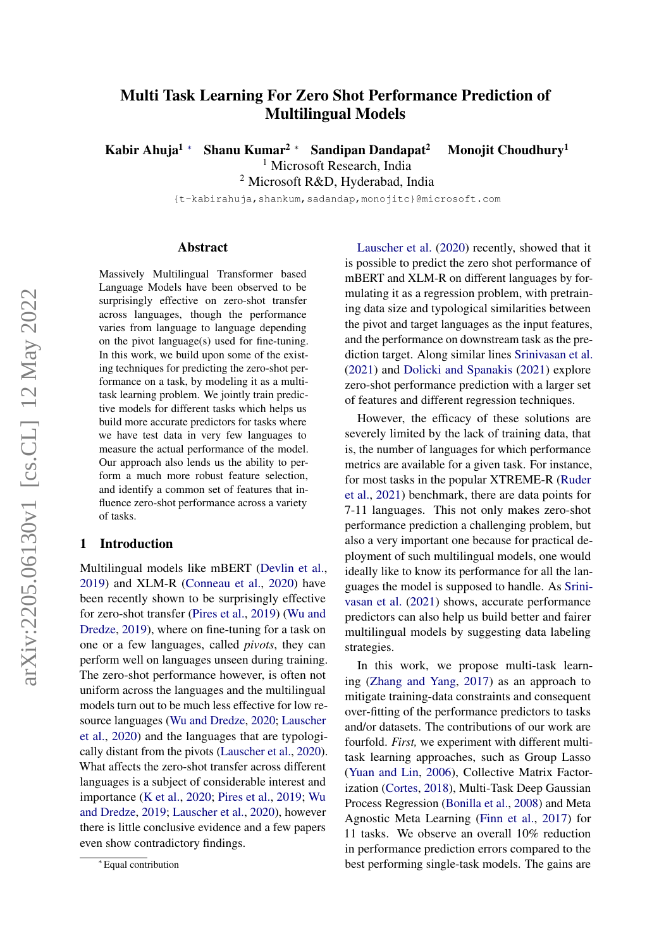# Multi Task Learning For Zero Shot Performance Prediction of Multilingual Models

Kabir Ahuja<sup>1 ∗</sup> Shanu Kumar<sup>2 ∗</sup> Sandipan Dandapat<sup>2</sup> Monojit Choudhury<sup>1</sup>

<sup>1</sup> Microsoft Research, India

<sup>2</sup> Microsoft R&D, Hyderabad, India

{t-kabirahuja,shankum,sadandap,monojitc}@microsoft.com

### Abstract

Massively Multilingual Transformer based Language Models have been observed to be surprisingly effective on zero-shot transfer across languages, though the performance varies from language to language depending on the pivot language(s) used for fine-tuning. In this work, we build upon some of the existing techniques for predicting the zero-shot performance on a task, by modeling it as a multitask learning problem. We jointly train predictive models for different tasks which helps us build more accurate predictors for tasks where we have test data in very few languages to measure the actual performance of the model. Our approach also lends us the ability to perform a much more robust feature selection, and identify a common set of features that influence zero-shot performance across a variety of tasks.

# 1 Introduction

Multilingual models like mBERT [\(Devlin et al.,](#page-8-0) [2019\)](#page-8-0) and XLM-R [\(Conneau et al.,](#page-8-1) [2020\)](#page-8-1) have been recently shown to be surprisingly effective for zero-shot transfer [\(Pires et al.,](#page-9-0) [2019\)](#page-9-0) [\(Wu and](#page-10-0) [Dredze,](#page-10-0) [2019\)](#page-10-0), where on fine-tuning for a task on one or a few languages, called *pivots*, they can perform well on languages unseen during training. The zero-shot performance however, is often not uniform across the languages and the multilingual models turn out to be much less effective for low resource languages [\(Wu and Dredze,](#page-10-1) [2020;](#page-10-1) [Lauscher](#page-9-1) [et al.,](#page-9-1) [2020\)](#page-9-1) and the languages that are typologically distant from the pivots [\(Lauscher et al.,](#page-9-1) [2020\)](#page-9-1). What affects the zero-shot transfer across different languages is a subject of considerable interest and importance [\(K et al.,](#page-9-2) [2020;](#page-9-2) [Pires et al.,](#page-9-0) [2019;](#page-9-0) [Wu](#page-10-0) [and Dredze,](#page-10-0) [2019;](#page-10-0) [Lauscher et al.,](#page-9-1) [2020\)](#page-9-1), however there is little conclusive evidence and a few papers even show contradictory findings.

[Lauscher et al.](#page-9-1) [\(2020\)](#page-9-1) recently, showed that it is possible to predict the zero shot performance of mBERT and XLM-R on different languages by formulating it as a regression problem, with pretraining data size and typological similarities between the pivot and target languages as the input features, and the performance on downstream task as the prediction target. Along similar lines [Srinivasan et al.](#page-10-2) [\(2021\)](#page-10-2) and [Dolicki and Spanakis](#page-9-3) [\(2021\)](#page-9-3) explore zero-shot performance prediction with a larger set of features and different regression techniques.

However, the efficacy of these solutions are severely limited by the lack of training data, that is, the number of languages for which performance metrics are available for a given task. For instance, for most tasks in the popular XTREME-R [\(Ruder](#page-10-3) [et al.,](#page-10-3) [2021\)](#page-10-3) benchmark, there are data points for 7-11 languages. This not only makes zero-shot performance prediction a challenging problem, but also a very important one because for practical deployment of such multilingual models, one would ideally like to know its performance for all the languages the model is supposed to handle. As [Srini](#page-10-2)[vasan et al.](#page-10-2) [\(2021\)](#page-10-2) shows, accurate performance predictors can also help us build better and fairer multilingual models by suggesting data labeling strategies.

In this work, we propose multi-task learning [\(Zhang and Yang,](#page-10-4) [2017\)](#page-10-4) as an approach to mitigate training-data constraints and consequent over-fitting of the performance predictors to tasks and/or datasets. The contributions of our work are fourfold. *First,* we experiment with different multitask learning approaches, such as Group Lasso [\(Yuan and Lin,](#page-10-5) [2006\)](#page-10-5), Collective Matrix Factorization [\(Cortes,](#page-8-2) [2018\)](#page-8-2), Multi-Task Deep Gaussian Process Regression [\(Bonilla et al.,](#page-8-3) [2008\)](#page-8-3) and Meta Agnostic Meta Learning [\(Finn et al.,](#page-9-4) [2017\)](#page-9-4) for 11 tasks. We observe an overall 10% reduction in performance prediction errors compared to the best performing single-task models. The gains are

<sup>∗</sup> Equal contribution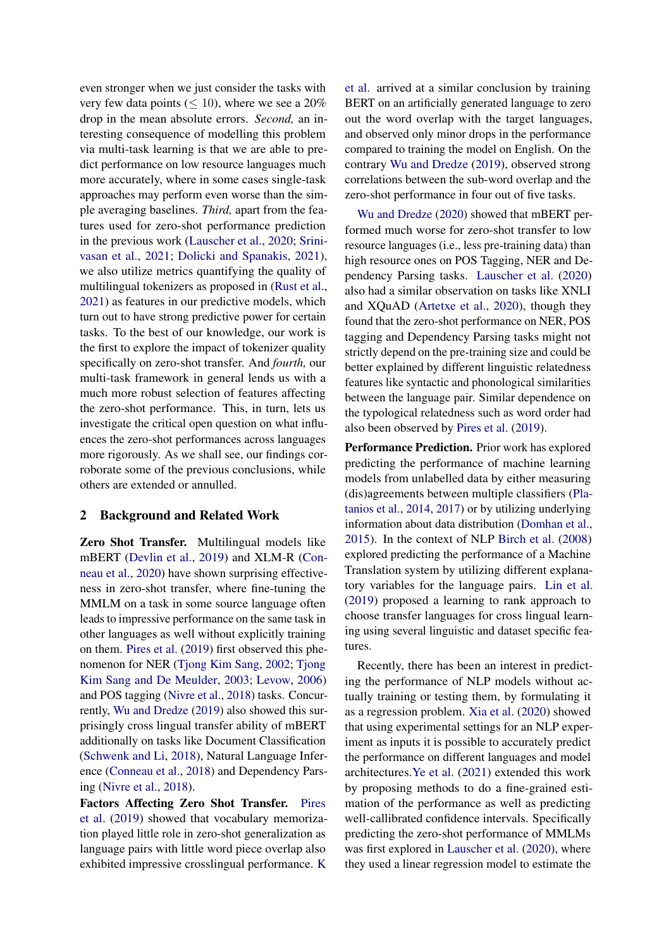even stronger when we just consider the tasks with very few data points ( $\leq 10$ ), where we see a 20% drop in the mean absolute errors. *Second,* an interesting consequence of modelling this problem via multi-task learning is that we are able to predict performance on low resource languages much more accurately, where in some cases single-task approaches may perform even worse than the simple averaging baselines. *Third,* apart from the features used for zero-shot performance prediction in the previous work [\(Lauscher et al.,](#page-9-1) [2020;](#page-9-1) [Srini](#page-10-2)[vasan et al.,](#page-10-2) [2021;](#page-10-2) [Dolicki and Spanakis,](#page-9-3) [2021\)](#page-9-3), we also utilize metrics quantifying the quality of multilingual tokenizers as proposed in [\(Rust et al.,](#page-10-6) [2021\)](#page-10-6) as features in our predictive models, which turn out to have strong predictive power for certain tasks. To the best of our knowledge, our work is the first to explore the impact of tokenizer quality specifically on zero-shot transfer. And *fourth,* our multi-task framework in general lends us with a much more robust selection of features affecting the zero-shot performance. This, in turn, lets us investigate the critical open question on what influences the zero-shot performances across languages more rigorously. As we shall see, our findings corroborate some of the previous conclusions, while others are extended or annulled.

# 2 Background and Related Work

Zero Shot Transfer. Multilingual models like mBERT [\(Devlin et al.,](#page-8-0) [2019\)](#page-8-0) and XLM-R [\(Con](#page-8-1)[neau et al.,](#page-8-1) [2020\)](#page-8-1) have shown surprising effectiveness in zero-shot transfer, where fine-tuning the MMLM on a task in some source language often leads to impressive performance on the same task in other languages as well without explicitly training on them. [Pires et al.](#page-9-0) [\(2019\)](#page-9-0) first observed this phenomenon for NER [\(Tjong Kim Sang,](#page-10-7) [2002;](#page-10-7) [Tjong](#page-10-8) [Kim Sang and De Meulder,](#page-10-8) [2003;](#page-10-8) [Levow,](#page-9-5) [2006\)](#page-9-5) and POS tagging [\(Nivre et al.,](#page-9-6) [2018\)](#page-9-6) tasks. Concurrently, [Wu and Dredze](#page-10-0) [\(2019\)](#page-10-0) also showed this surprisingly cross lingual transfer ability of mBERT additionally on tasks like Document Classification [\(Schwenk and Li,](#page-10-9) [2018\)](#page-10-9), Natural Language Inference [\(Conneau et al.,](#page-8-4) [2018\)](#page-8-4) and Dependency Parsing [\(Nivre et al.,](#page-9-6) [2018\)](#page-9-6).

Factors Affecting Zero Shot Transfer. [Pires](#page-9-0) [et al.](#page-9-0) [\(2019\)](#page-9-0) showed that vocabulary memorization played little role in zero-shot generalization as language pairs with little word piece overlap also exhibited impressive crosslingual performance. [K](#page-9-2) [et al.](#page-9-2) arrived at a similar conclusion by training BERT on an artificially generated language to zero out the word overlap with the target languages, and observed only minor drops in the performance compared to training the model on English. On the contrary [Wu and Dredze](#page-10-0) [\(2019\)](#page-10-0), observed strong correlations between the sub-word overlap and the zero-shot performance in four out of five tasks.

[Wu and Dredze](#page-10-1) [\(2020\)](#page-10-1) showed that mBERT performed much worse for zero-shot transfer to low resource languages (i.e., less pre-training data) than high resource ones on POS Tagging, NER and Dependency Parsing tasks. [Lauscher et al.](#page-9-1) [\(2020\)](#page-9-1) also had a similar observation on tasks like XNLI and XQuAD [\(Artetxe et al.,](#page-8-5) [2020\)](#page-8-5), though they found that the zero-shot performance on NER, POS tagging and Dependency Parsing tasks might not strictly depend on the pre-training size and could be better explained by different linguistic relatedness features like syntactic and phonological similarities between the language pair. Similar dependence on the typological relatedness such as word order had also been observed by [Pires et al.](#page-9-0) [\(2019\)](#page-9-0).

Performance Prediction. Prior work has explored predicting the performance of machine learning models from unlabelled data by either measuring (dis)agreements between multiple classifiers [\(Pla](#page-9-7)[tanios et al.,](#page-9-7) [2014,](#page-9-7) [2017\)](#page-9-8) or by utilizing underlying information about data distribution [\(Domhan et al.,](#page-9-9) [2015\)](#page-9-9). In the context of NLP [Birch et al.](#page-8-6) [\(2008\)](#page-8-6) explored predicting the performance of a Machine Translation system by utilizing different explanatory variables for the language pairs. [Lin et al.](#page-9-10) [\(2019\)](#page-9-10) proposed a learning to rank approach to choose transfer languages for cross lingual learning using several linguistic and dataset specific features.

Recently, there has been an interest in predicting the performance of NLP models without actually training or testing them, by formulating it as a regression problem. [Xia et al.](#page-10-10) [\(2020\)](#page-10-10) showed that using experimental settings for an NLP experiment as inputs it is possible to accurately predict the performance on different languages and model architectures[.Ye et al.](#page-10-11) [\(2021\)](#page-10-11) extended this work by proposing methods to do a fine-grained estimation of the performance as well as predicting well-callibrated confidence intervals. Specifically predicting the zero-shot performance of MMLMs was first explored in [Lauscher et al.](#page-9-1) [\(2020\)](#page-9-1), where they used a linear regression model to estimate the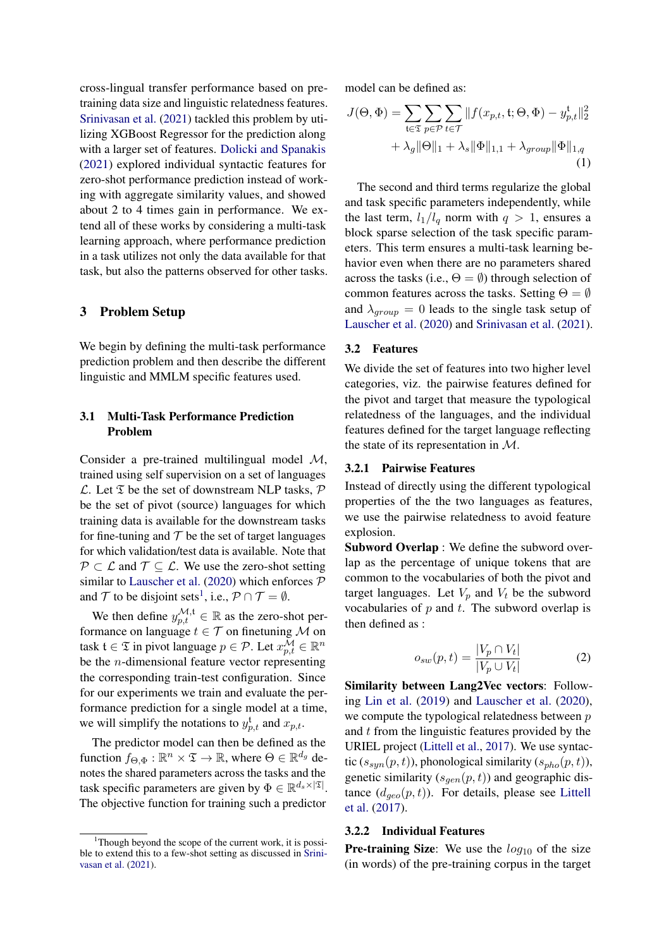cross-lingual transfer performance based on pretraining data size and linguistic relatedness features. [Srinivasan et al.](#page-10-2) [\(2021\)](#page-10-2) tackled this problem by utilizing XGBoost Regressor for the prediction along with a larger set of features. [Dolicki and Spanakis](#page-9-3) [\(2021\)](#page-9-3) explored individual syntactic features for zero-shot performance prediction instead of working with aggregate similarity values, and showed about 2 to 4 times gain in performance. We extend all of these works by considering a multi-task learning approach, where performance prediction in a task utilizes not only the data available for that task, but also the patterns observed for other tasks.

# 3 Problem Setup

We begin by defining the multi-task performance prediction problem and then describe the different linguistic and MMLM specific features used.

# 3.1 Multi-Task Performance Prediction Problem

Consider a pre-trained multilingual model M, trained using self supervision on a set of languages  $\mathcal{L}$ . Let  $\mathfrak T$  be the set of downstream NLP tasks,  $\mathcal P$ be the set of pivot (source) languages for which training data is available for the downstream tasks for fine-tuning and  $T$  be the set of target languages for which validation/test data is available. Note that  $P \subset \mathcal{L}$  and  $\mathcal{T} \subseteq \mathcal{L}$ . We use the zero-shot setting similar to [Lauscher et al.](#page-9-1) [\(2020\)](#page-9-1) which enforces  $P$ and T to be disjoint sets<sup>[1](#page-2-0)</sup>, i.e.,  $P \cap T = \emptyset$ .

We then define  $y_{p,t}^{\mathcal{M},t} \in \mathbb{R}$  as the zero-shot performance on language  $t \in \mathcal{T}$  on finetuning M on task  $\mathfrak{t} \in \mathfrak{T}$  in pivot language  $p \in \mathcal{P}$ . Let  $x_{p,t}^{\mathcal{M}} \in \mathbb{R}^n$ be the  $n$ -dimensional feature vector representing the corresponding train-test configuration. Since for our experiments we train and evaluate the performance prediction for a single model at a time, we will simplify the notations to  $y_{p,t}^{\mathrm{t}}$  and  $x_{p,t}$ .

The predictor model can then be defined as the function  $f_{\Theta, \Phi} : \mathbb{R}^n \times \mathfrak{T} \to \mathbb{R}$ , where  $\Theta \in \mathbb{R}^{d_g}$  denotes the shared parameters across the tasks and the task specific parameters are given by  $\Phi \in \mathbb{R}^{d_s \times |\mathfrak{T}|}$ . The objective function for training such a predictor

<span id="page-2-2"></span>model can be defined as:

$$
J(\Theta, \Phi) = \sum_{\mathfrak{t} \in \mathfrak{T}} \sum_{p \in \mathcal{P}} \sum_{t \in \mathcal{T}} \| f(x_{p,t}, \mathfrak{t}; \Theta, \Phi) - y_{p,t}^{\mathfrak{t}} \|_{2}^{2} + \lambda_{g} \|\Theta\|_{1} + \lambda_{s} \|\Phi\|_{1,1} + \lambda_{group} \|\Phi\|_{1,q}
$$
\n(1)

The second and third terms regularize the global and task specific parameters independently, while the last term,  $l_1/l_q$  norm with  $q > 1$ , ensures a block sparse selection of the task specific parameters. This term ensures a multi-task learning behavior even when there are no parameters shared across the tasks (i.e.,  $\Theta = \emptyset$ ) through selection of common features across the tasks. Setting  $\Theta = \emptyset$ and  $\lambda_{group} = 0$  leads to the single task setup of [Lauscher et al.](#page-9-1) [\(2020\)](#page-9-1) and [Srinivasan et al.](#page-10-2) [\(2021\)](#page-10-2).

#### <span id="page-2-1"></span>3.2 Features

We divide the set of features into two higher level categories, viz. the pairwise features defined for the pivot and target that measure the typological relatedness of the languages, and the individual features defined for the target language reflecting the state of its representation in M.

# 3.2.1 Pairwise Features

Instead of directly using the different typological properties of the the two languages as features, we use the pairwise relatedness to avoid feature explosion.

Subword Overlap : We define the subword overlap as the percentage of unique tokens that are common to the vocabularies of both the pivot and target languages. Let  $V_p$  and  $V_t$  be the subword vocabularies of  $p$  and  $t$ . The subword overlap is then defined as :

$$
o_{sw}(p,t) = \frac{|V_p \cap V_t|}{|V_p \cup V_t|} \tag{2}
$$

Similarity between Lang2Vec vectors: Following [Lin et al.](#page-9-10) [\(2019\)](#page-9-10) and [Lauscher et al.](#page-9-1) [\(2020\)](#page-9-1), we compute the typological relatedness between  $p$ and t from the linguistic features provided by the URIEL project [\(Littell et al.,](#page-9-11) [2017\)](#page-9-11). We use syntactic ( $s_{sun}(p, t)$ ), phonological similarity ( $s_{pho}(p, t)$ ), genetic similarity  $(s_{gen}(p, t))$  and geographic distance  $(d_{geo}(p, t))$ . For details, please see [Littell](#page-9-11) [et al.](#page-9-11) [\(2017\)](#page-9-11).

# 3.2.2 Individual Features

**Pre-training Size:** We use the  $log_{10}$  of the size (in words) of the pre-training corpus in the target

<span id="page-2-0"></span> $1$ Though beyond the scope of the current work, it is possible to extend this to a few-shot setting as discussed in [Srini](#page-10-2)[vasan et al.](#page-10-2) [\(2021\)](#page-10-2).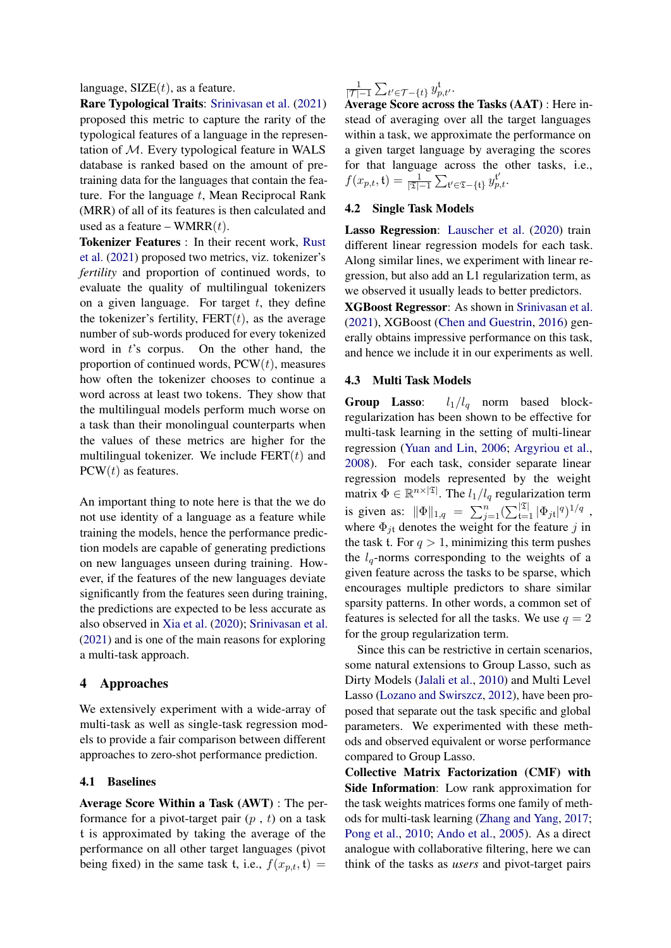language,  $\text{SIZE}(t)$ , as a feature.

Rare Typological Traits: [Srinivasan et al.](#page-10-2) [\(2021\)](#page-10-2) proposed this metric to capture the rarity of the typological features of a language in the representation of M. Every typological feature in WALS database is ranked based on the amount of pretraining data for the languages that contain the feature. For the language  $t$ , Mean Reciprocal Rank (MRR) of all of its features is then calculated and used as a feature – WMRR $(t)$ .

Tokenizer Features : In their recent work, [Rust](#page-10-6) [et al.](#page-10-6) [\(2021\)](#page-10-6) proposed two metrics, viz. tokenizer's *fertility* and proportion of continued words, to evaluate the quality of multilingual tokenizers on a given language. For target  $t$ , they define the tokenizer's fertility,  $FERT(t)$ , as the average number of sub-words produced for every tokenized word in  $t$ 's corpus. On the other hand, the proportion of continued words,  $PCW(t)$ , measures how often the tokenizer chooses to continue a word across at least two tokens. They show that the multilingual models perform much worse on a task than their monolingual counterparts when the values of these metrics are higher for the multilingual tokenizer. We include  $FERT(t)$  and  $PCW(t)$  as features.

An important thing to note here is that the we do not use identity of a language as a feature while training the models, hence the performance prediction models are capable of generating predictions on new languages unseen during training. However, if the features of the new languages deviate significantly from the features seen during training, the predictions are expected to be less accurate as also observed in [Xia et al.](#page-10-10) [\(2020\)](#page-10-10); [Srinivasan et al.](#page-10-2) [\(2021\)](#page-10-2) and is one of the main reasons for exploring a multi-task approach.

# 4 Approaches

We extensively experiment with a wide-array of multi-task as well as single-task regression models to provide a fair comparison between different approaches to zero-shot performance prediction.

# 4.1 Baselines

Average Score Within a Task (AWT) : The performance for a pivot-target pair  $(p, t)$  on a task t is approximated by taking the average of the performance on all other target languages (pivot being fixed) in the same task t, i.e.,  $f(x_{p,t}, t) =$ 

1  $\frac{1}{|\mathcal{T}|-1}\sum_{t'\in\mathcal{T}-\{t\}}y_{p,t'}^{\mathfrak{t}}.$ 

Average Score across the Tasks (AAT) : Here instead of averaging over all the target languages within a task, we approximate the performance on a given target language by averaging the scores for that language across the other tasks, i.e.,  $f(x_{p,t}, \mathfrak{t}) = \frac{1}{|\mathfrak{T}|-1} \sum_{\mathfrak{t}' \in \mathfrak{T} - \{\mathfrak{t}\}} y_{p,t}^{\mathfrak{t}'}$ 

### 4.2 Single Task Models

Lasso Regression: [Lauscher et al.](#page-9-1) [\(2020\)](#page-9-1) train different linear regression models for each task. Along similar lines, we experiment with linear regression, but also add an L1 regularization term, as we observed it usually leads to better predictors.

XGBoost Regressor: As shown in [Srinivasan et al.](#page-10-2) [\(2021\)](#page-10-2), XGBoost [\(Chen and Guestrin,](#page-8-7) [2016\)](#page-8-7) generally obtains impressive performance on this task, and hence we include it in our experiments as well.

# 4.3 Multi Task Models

Group Lasso:  $l_1/l_q$  norm based blockregularization has been shown to be effective for multi-task learning in the setting of multi-linear regression [\(Yuan and Lin,](#page-10-5) [2006;](#page-10-5) [Argyriou et al.,](#page-8-8) [2008\)](#page-8-8). For each task, consider separate linear regression models represented by the weight matrix  $\Phi \in \mathbb{R}^{n \times |\mathfrak{T}|}$ . The  $l_1 / l_q$  regularization term is given as:  $\|\Phi\|_{1,q} = \sum_{j=1}^n (\sum_{t=1}^{\mathfrak{X}} |\Phi_{jt}|^q)^{1/q}$ , where  $\Phi_{jt}$  denotes the weight for the feature j in the task t. For  $q > 1$ , minimizing this term pushes the  $l_q$ -norms corresponding to the weights of a given feature across the tasks to be sparse, which encourages multiple predictors to share similar sparsity patterns. In other words, a common set of features is selected for all the tasks. We use  $q = 2$ for the group regularization term.

Since this can be restrictive in certain scenarios, some natural extensions to Group Lasso, such as Dirty Models [\(Jalali et al.,](#page-9-12) [2010\)](#page-9-12) and Multi Level Lasso [\(Lozano and Swirszcz,](#page-9-13) [2012\)](#page-9-13), have been proposed that separate out the task specific and global parameters. We experimented with these methods and observed equivalent or worse performance compared to Group Lasso.

Collective Matrix Factorization (CMF) with Side Information: Low rank approximation for the task weights matrices forms one family of methods for multi-task learning [\(Zhang and Yang,](#page-10-4) [2017;](#page-10-4) [Pong et al.,](#page-9-14) [2010;](#page-9-14) [Ando et al.,](#page-8-9) [2005\)](#page-8-9). As a direct analogue with collaborative filtering, here we can think of the tasks as *users* and pivot-target pairs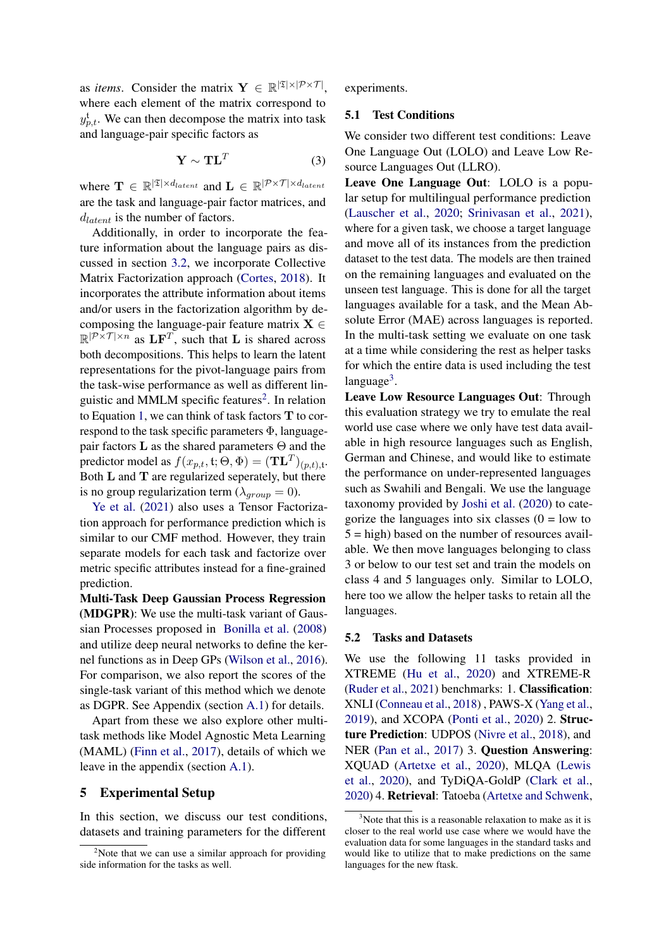as *items*. Consider the matrix  $\mathbf{Y} \in \mathbb{R}^{|\mathfrak{T}| \times |\mathcal{P} \times \mathcal{T}|}$ , where each element of the matrix correspond to  $y_{p,t}^{\mathrm{t}}$ . We can then decompose the matrix into task and language-pair specific factors as

$$
\mathbf{Y} \sim \mathbf{T} \mathbf{L}^T \tag{3}
$$

where  $\mathbf{T} \in \mathbb{R}^{|\mathfrak{T}| \times d_{latent}}$  and  $\mathbf{L} \in \mathbb{R}^{|\mathcal{P} \times \mathcal{T}| \times d_{latent}}$ are the task and language-pair factor matrices, and  $d_{latent}$  is the number of factors.

Additionally, in order to incorporate the feature information about the language pairs as discussed in section [3.2,](#page-2-1) we incorporate Collective Matrix Factorization approach [\(Cortes,](#page-8-2) [2018\)](#page-8-2). It incorporates the attribute information about items and/or users in the factorization algorithm by decomposing the language-pair feature matrix  $X \in$  $\mathbb{R}^{|\mathcal{P} \times \mathcal{T}| \times n}$  as  $\mathbf{L} \mathbf{F}^T$ , such that  $\mathbf{L}$  is shared across both decompositions. This helps to learn the latent representations for the pivot-language pairs from the task-wise performance as well as different lin-guistic and MMLM specific features<sup>[2](#page-4-0)</sup>. In relation to Equation [1,](#page-2-2) we can think of task factors T to correspond to the task specific parameters Φ, languagepair factors **L** as the shared parameters  $\Theta$  and the predictor model as  $f(x_{p,t}, \mathfrak{t}; \Theta, \Phi) = (\mathbf{T} \mathbf{L}^T)_{(p,t), \mathfrak{t}}$ . Both L and T are regularized seperately, but there is no group regularization term ( $\lambda_{group} = 0$ ).

[Ye et al.](#page-10-11) [\(2021\)](#page-10-11) also uses a Tensor Factorization approach for performance prediction which is similar to our CMF method. However, they train separate models for each task and factorize over metric specific attributes instead for a fine-grained prediction.

Multi-Task Deep Gaussian Process Regression (MDGPR): We use the multi-task variant of Gaussian Processes proposed in [Bonilla et al.](#page-8-3) [\(2008\)](#page-8-3) and utilize deep neural networks to define the kernel functions as in Deep GPs [\(Wilson et al.,](#page-10-12) [2016\)](#page-10-12). For comparison, we also report the scores of the single-task variant of this method which we denote as DGPR. See Appendix (section [A.1\)](#page-10-13) for details.

Apart from these we also explore other multitask methods like Model Agnostic Meta Learning (MAML) [\(Finn et al.,](#page-9-4) [2017\)](#page-9-4), details of which we leave in the appendix (section [A.1\)](#page-10-13).

# 5 Experimental Setup

In this section, we discuss our test conditions, datasets and training parameters for the different

experiments.

# 5.1 Test Conditions

We consider two different test conditions: Leave One Language Out (LOLO) and Leave Low Resource Languages Out (LLRO).

Leave One Language Out: LOLO is a popular setup for multilingual performance prediction [\(Lauscher et al.,](#page-9-1) [2020;](#page-9-1) [Srinivasan et al.,](#page-10-2) [2021\)](#page-10-2), where for a given task, we choose a target language and move all of its instances from the prediction dataset to the test data. The models are then trained on the remaining languages and evaluated on the unseen test language. This is done for all the target languages available for a task, and the Mean Absolute Error (MAE) across languages is reported. In the multi-task setting we evaluate on one task at a time while considering the rest as helper tasks for which the entire data is used including the test language<sup>[3](#page-4-1)</sup>.

Leave Low Resource Languages Out: Through this evaluation strategy we try to emulate the real world use case where we only have test data available in high resource languages such as English, German and Chinese, and would like to estimate the performance on under-represented languages such as Swahili and Bengali. We use the language taxonomy provided by [Joshi et al.](#page-9-15) [\(2020\)](#page-9-15) to categorize the languages into six classes  $(0 = low to$  $5 =$ high) based on the number of resources available. We then move languages belonging to class 3 or below to our test set and train the models on class 4 and 5 languages only. Similar to LOLO, here too we allow the helper tasks to retain all the languages.

#### 5.2 Tasks and Datasets

We use the following 11 tasks provided in XTREME [\(Hu et al.,](#page-9-16) [2020\)](#page-9-16) and XTREME-R [\(Ruder et al.,](#page-10-3) [2021\)](#page-10-3) benchmarks: 1. Classification: XNLI [\(Conneau et al.,](#page-8-4) [2018\)](#page-8-4) , PAWS-X [\(Yang et al.,](#page-10-14) [2019\)](#page-10-14), and XCOPA [\(Ponti et al.,](#page-9-17) [2020\)](#page-9-17) 2. Structure Prediction: UDPOS [\(Nivre et al.,](#page-9-6) [2018\)](#page-9-6), and NER [\(Pan et al.,](#page-9-18) [2017\)](#page-9-18) 3. Question Answering: XQUAD [\(Artetxe et al.,](#page-8-5) [2020\)](#page-8-5), MLQA [\(Lewis](#page-9-19) [et al.,](#page-9-19) [2020\)](#page-9-19), and TyDiQA-GoldP [\(Clark et al.,](#page-8-10) [2020\)](#page-8-10) 4. Retrieval: Tatoeba [\(Artetxe and Schwenk,](#page-8-11)

<span id="page-4-0"></span><sup>&</sup>lt;sup>2</sup>Note that we can use a similar approach for providing side information for the tasks as well.

<span id="page-4-1"></span> $3$ Note that this is a reasonable relaxation to make as it is closer to the real world use case where we would have the evaluation data for some languages in the standard tasks and would like to utilize that to make predictions on the same languages for the new ftask.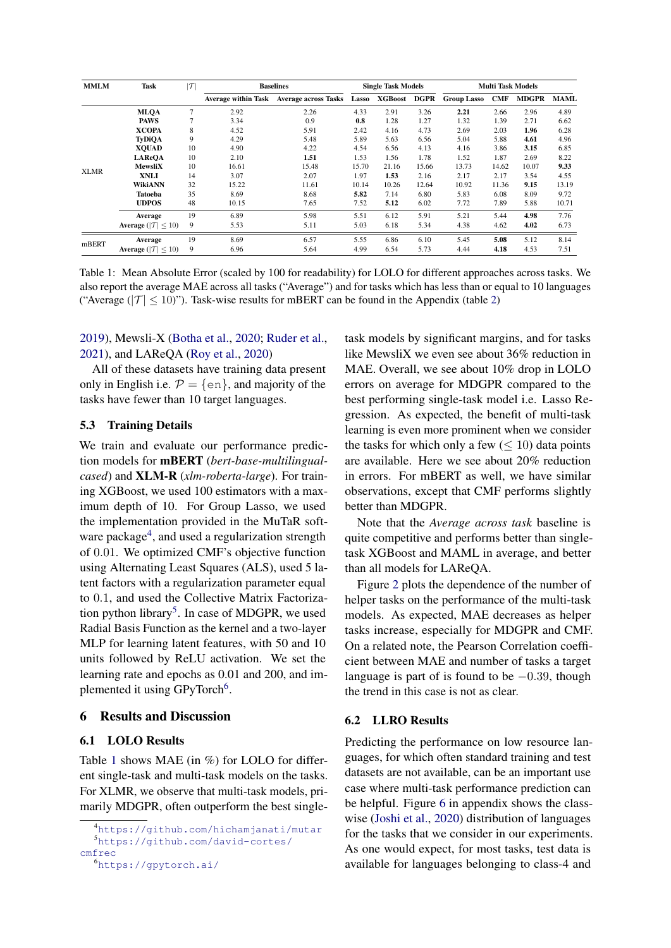<span id="page-5-3"></span>

| <b>MMLM</b> | Task                                | $\tau$         | <b>Baselines</b>    |                             | <b>Single Task Models</b> |                |       | <b>Multi Task Models</b> |            |              |             |
|-------------|-------------------------------------|----------------|---------------------|-----------------------------|---------------------------|----------------|-------|--------------------------|------------|--------------|-------------|
|             |                                     |                | Average within Task | <b>Average across Tasks</b> | Lasso                     | <b>XGBoost</b> | DGPR  | <b>Group Lasso</b>       | <b>CMF</b> | <b>MDGPR</b> | <b>MAML</b> |
|             | <b>MLOA</b>                         | $\overline{7}$ | 2.92                | 2.26                        | 4.33                      | 2.91           | 3.26  | 2.21                     | 2.66       | 2.96         | 4.89        |
| <b>XLMR</b> | <b>PAWS</b>                         |                | 3.34                | 0.9                         | 0.8                       | 1.28           | 1.27  | 1.32                     | 1.39       | 2.71         | 6.62        |
|             | <b>XCOPA</b>                        | 8              | 4.52                | 5.91                        | 2.42                      | 4.16           | 4.73  | 2.69                     | 2.03       | 1.96         | 6.28        |
|             | <b>TyDiOA</b>                       | 9              | 4.29                | 5.48                        | 5.89                      | 5.63           | 6.56  | 5.04                     | 5.88       | 4.61         | 4.96        |
|             | <b>XOUAD</b>                        | 10             | 4.90                | 4.22                        | 4.54                      | 6.56           | 4.13  | 4.16                     | 3.86       | 3.15         | 6.85        |
|             | <b>LAReOA</b>                       | 10             | 2.10                | 1.51                        | 1.53                      | 1.56           | 1.78  | 1.52                     | 1.87       | 2.69         | 8.22        |
|             | <b>MewsliX</b>                      | 10             | 16.61               | 15.48                       | 15.70                     | 21.16          | 15.66 | 13.73                    | 14.62      | 10.07        | 9.33        |
|             | <b>XNLI</b>                         | 14             | 3.07                | 2.07                        | 1.97                      | 1.53           | 2.16  | 2.17                     | 2.17       | 3.54         | 4.55        |
|             | <b>WikiANN</b>                      | 32             | 15.22               | 11.61                       | 10.14                     | 10.26          | 12.64 | 10.92                    | 11.36      | 9.15         | 13.19       |
|             | Tatoeba                             | 35             | 8.69                | 8.68                        | 5.82                      | 7.14           | 6.80  | 5.83                     | 6.08       | 8.09         | 9.72        |
|             | <b>UDPOS</b>                        | 48             | 10.15               | 7.65                        | 7.52                      | 5.12           | 6.02  | 7.72                     | 7.89       | 5.88         | 10.71       |
|             | Average                             | 19             | 6.89                | 5.98                        | 5.51                      | 6.12           | 5.91  | 5.21                     | 5.44       | 4.98         | 7.76        |
|             | Average ( $ \mathcal{T}  \leq 10$ ) | 9              | 5.53                | 5.11                        | 5.03                      | 6.18           | 5.34  | 4.38                     | 4.62       | 4.02         | 6.73        |
| mBERT       | Average                             | 19             | 8.69                | 6.57                        | 5.55                      | 6.86           | 6.10  | 5.45                     | 5.08       | 5.12         | 8.14        |
|             | Average ( $ T  \le 10$ )            | 9              | 6.96                | 5.64                        | 4.99                      | 6.54           | 5.73  | 4.44                     | 4.18       | 4.53         | 7.51        |

Table 1: Mean Absolute Error (scaled by 100 for readability) for LOLO for different approaches across tasks. We also report the average MAE across all tasks ("Average") and for tasks which has less than or equal to 10 languages ("Average ( $|T| \le 10$ )"). Task-wise results for mBERT can be found in the Appendix (table [2\)](#page-12-0)

# [2019\)](#page-8-11), Mewsli-X [\(Botha et al.,](#page-8-12) [2020;](#page-8-12) [Ruder et al.,](#page-10-3) [2021\)](#page-10-3), and LAReQA [\(Roy et al.,](#page-10-15) [2020\)](#page-10-15)

All of these datasets have training data present only in English i.e.  $P = \{en\}$ , and majority of the tasks have fewer than 10 target languages.

# 5.3 Training Details

We train and evaluate our performance prediction models for mBERT (*bert-base-multilingualcased*) and XLM-R (*xlm-roberta-large*). For training XGBoost, we used 100 estimators with a maximum depth of 10. For Group Lasso, we used the implementation provided in the MuTaR soft-ware package<sup>[4](#page-5-0)</sup>, and used a regularization strength of 0.01. We optimized CMF's objective function using Alternating Least Squares (ALS), used 5 latent factors with a regularization parameter equal to 0.1, and used the Collective Matrix Factoriza-tion python library<sup>[5](#page-5-1)</sup>. In case of MDGPR, we used Radial Basis Function as the kernel and a two-layer MLP for learning latent features, with 50 and 10 units followed by ReLU activation. We set the learning rate and epochs as 0.01 and 200, and im-plemented it using GPyTorch<sup>[6](#page-5-2)</sup>.

# 6 Results and Discussion

# 6.1 LOLO Results

Table [1](#page-5-3) shows MAE (in %) for LOLO for different single-task and multi-task models on the tasks. For XLMR, we observe that multi-task models, primarily MDGPR, often outperform the best singletask models by significant margins, and for tasks like MewsliX we even see about 36% reduction in MAE. Overall, we see about 10% drop in LOLO errors on average for MDGPR compared to the best performing single-task model i.e. Lasso Regression. As expected, the benefit of multi-task learning is even more prominent when we consider the tasks for which only a few  $(\leq 10)$  data points are available. Here we see about 20% reduction in errors. For mBERT as well, we have similar observations, except that CMF performs slightly better than MDGPR.

Note that the *Average across task* baseline is quite competitive and performs better than singletask XGBoost and MAML in average, and better than all models for LAReQA.

Figure [2](#page-6-0) plots the dependence of the number of helper tasks on the performance of the multi-task models. As expected, MAE decreases as helper tasks increase, especially for MDGPR and CMF. On a related note, the Pearson Correlation coefficient between MAE and number of tasks a target language is part of is found to be  $-0.39$ , though the trend in this case is not as clear.

## 6.2 LLRO Results

Predicting the performance on low resource languages, for which often standard training and test datasets are not available, can be an important use case where multi-task performance prediction can be helpful. Figure [6](#page-12-1) in appendix shows the classwise [\(Joshi et al.,](#page-9-15) [2020\)](#page-9-15) distribution of languages for the tasks that we consider in our experiments. As one would expect, for most tasks, test data is available for languages belonging to class-4 and

<span id="page-5-1"></span><span id="page-5-0"></span><sup>4</sup><https://github.com/hichamjanati/mutar> <sup>5</sup>[https://github.com/david-cortes/](https://github.com/david-cortes/cmfrec)

<span id="page-5-2"></span>[cmfrec](https://github.com/david-cortes/cmfrec) <sup>6</sup><https://gpytorch.ai/>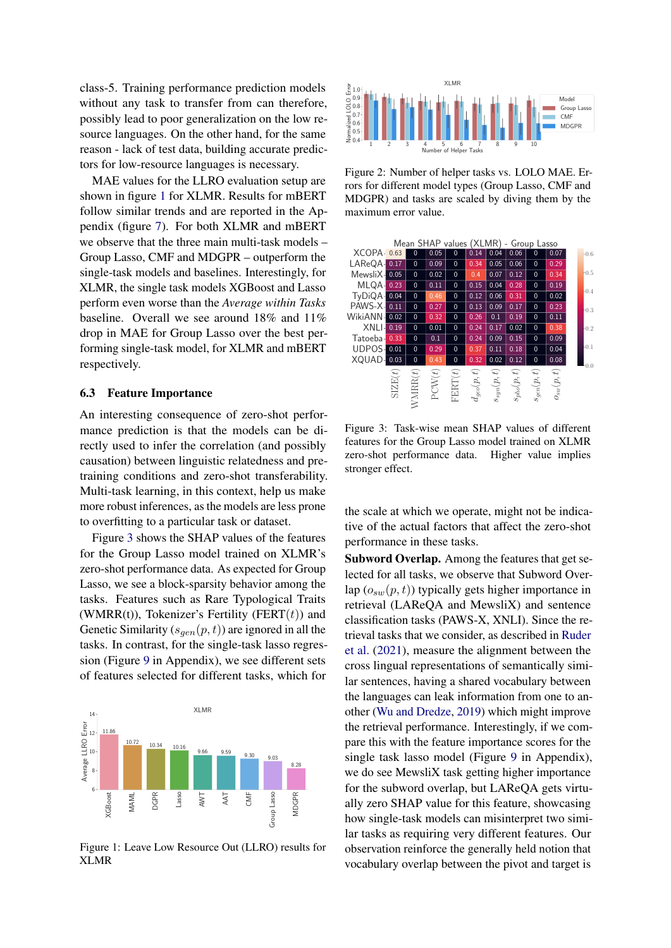class-5. Training performance prediction models without any task to transfer from can therefore, possibly lead to poor generalization on the low resource languages. On the other hand, for the same reason - lack of test data, building accurate predictors for low-resource languages is necessary.

MAE values for the LLRO evaluation setup are shown in figure [1](#page-6-1) for XLMR. Results for mBERT follow similar trends and are reported in the Appendix (figure [7\)](#page-12-2). For both XLMR and mBERT we observe that the three main multi-task models – Group Lasso, CMF and MDGPR – outperform the single-task models and baselines. Interestingly, for XLMR, the single task models XGBoost and Lasso perform even worse than the *Average within Tasks* baseline. Overall we see around 18% and 11% drop in MAE for Group Lasso over the best performing single-task model, for XLMR and mBERT respectively.

# 6.3 Feature Importance

An interesting consequence of zero-shot performance prediction is that the models can be directly used to infer the correlation (and possibly causation) between linguistic relatedness and pretraining conditions and zero-shot transferability. Multi-task learning, in this context, help us make more robust inferences, as the models are less prone to overfitting to a particular task or dataset.

Figure [3](#page-6-2) shows the SHAP values of the features for the Group Lasso model trained on XLMR's zero-shot performance data. As expected for Group Lasso, we see a block-sparsity behavior among the tasks. Features such as Rare Typological Traits (WMRR(t)), Tokenizer's Fertility (FERT $(t)$ ) and Genetic Similarity  $(s_{gen}(p, t))$  are ignored in all the tasks. In contrast, for the single-task lasso regression (Figure [9](#page-13-0) in Appendix), we see different sets of features selected for different tasks, which for

<span id="page-6-1"></span>

Figure 1: Leave Low Resource Out (LLRO) results for XLMR

<span id="page-6-0"></span>

Figure 2: Number of helper tasks vs. LOLO MAE. Errors for different model types (Group Lasso, CMF and MDGPR) and tasks are scaled by diving them by the maximum error value.

<span id="page-6-2"></span>

Figure 3: Task-wise mean SHAP values of different features for the Group Lasso model trained on XLMR zero-shot performance data. Higher value implies stronger effect.

the scale at which we operate, might not be indicative of the actual factors that affect the zero-shot performance in these tasks.

Subword Overlap. Among the features that get selected for all tasks, we observe that Subword Overlap  $(o_{sw}(p, t))$  typically gets higher importance in retrieval (LAReQA and MewsliX) and sentence classification tasks (PAWS-X, XNLI). Since the retrieval tasks that we consider, as described in [Ruder](#page-10-3) [et al.](#page-10-3) [\(2021\)](#page-10-3), measure the alignment between the cross lingual representations of semantically similar sentences, having a shared vocabulary between the languages can leak information from one to another [\(Wu and Dredze,](#page-10-0) [2019\)](#page-10-0) which might improve the retrieval performance. Interestingly, if we compare this with the feature importance scores for the single task lasso model (Figure [9](#page-13-0) in Appendix), we do see MewsliX task getting higher importance for the subword overlap, but LAReQA gets virtually zero SHAP value for this feature, showcasing how single-task models can misinterpret two similar tasks as requiring very different features. Our observation reinforce the generally held notion that vocabulary overlap between the pivot and target is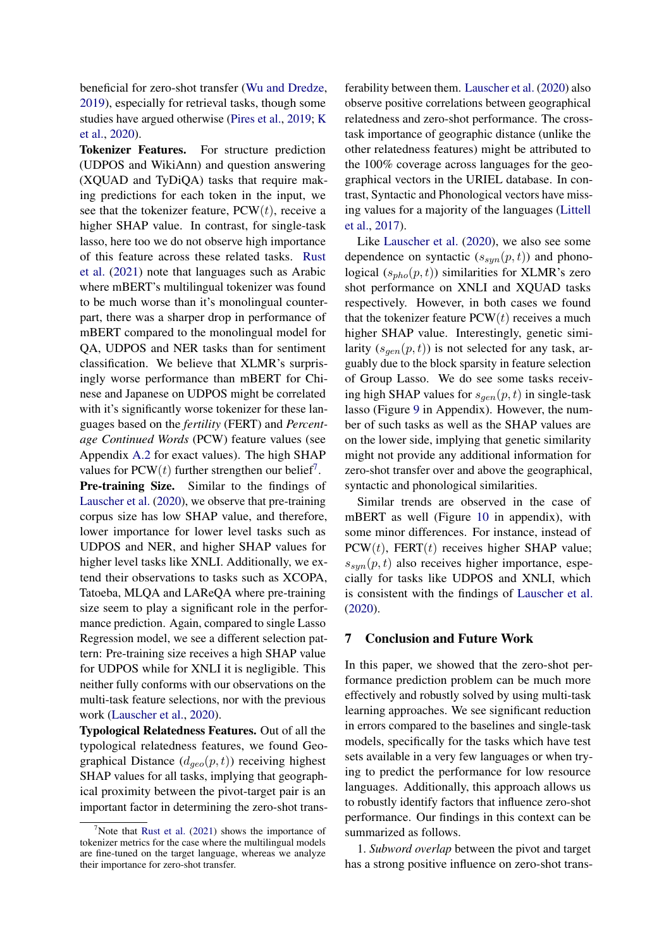beneficial for zero-shot transfer [\(Wu and Dredze,](#page-10-0) [2019\)](#page-10-0), especially for retrieval tasks, though some studies have argued otherwise [\(Pires et al.,](#page-9-0) [2019;](#page-9-0) [K](#page-9-2) [et al.,](#page-9-2) [2020\)](#page-9-2).

Tokenizer Features. For structure prediction (UDPOS and WikiAnn) and question answering (XQUAD and TyDiQA) tasks that require making predictions for each token in the input, we see that the tokenizer feature,  $PCW(t)$ , receive a higher SHAP value. In contrast, for single-task lasso, here too we do not observe high importance of this feature across these related tasks. [Rust](#page-10-6) [et al.](#page-10-6) [\(2021\)](#page-10-6) note that languages such as Arabic where mBERT's multilingual tokenizer was found to be much worse than it's monolingual counterpart, there was a sharper drop in performance of mBERT compared to the monolingual model for QA, UDPOS and NER tasks than for sentiment classification. We believe that XLMR's surprisingly worse performance than mBERT for Chinese and Japanese on UDPOS might be correlated with it's significantly worse tokenizer for these languages based on the *fertility* (FERT) and *Percentage Continued Words* (PCW) feature values (see Appendix [A.2](#page-11-0) for exact values). The high SHAP values for PCW $(t)$  further strengthen our belief<sup>[7](#page-7-0)</sup>.

Pre-training Size. Similar to the findings of [Lauscher et al.](#page-9-1) [\(2020\)](#page-9-1), we observe that pre-training corpus size has low SHAP value, and therefore, lower importance for lower level tasks such as UDPOS and NER, and higher SHAP values for higher level tasks like XNLI. Additionally, we extend their observations to tasks such as XCOPA, Tatoeba, MLQA and LAReQA where pre-training size seem to play a significant role in the performance prediction. Again, compared to single Lasso Regression model, we see a different selection pattern: Pre-training size receives a high SHAP value for UDPOS while for XNLI it is negligible. This neither fully conforms with our observations on the multi-task feature selections, nor with the previous work [\(Lauscher et al.,](#page-9-1) [2020\)](#page-9-1).

Typological Relatedness Features. Out of all the typological relatedness features, we found Geographical Distance  $(d_{geo}(p, t))$  receiving highest SHAP values for all tasks, implying that geographical proximity between the pivot-target pair is an important factor in determining the zero-shot transferability between them. [Lauscher et al.](#page-9-1) [\(2020\)](#page-9-1) also observe positive correlations between geographical relatedness and zero-shot performance. The crosstask importance of geographic distance (unlike the other relatedness features) might be attributed to the 100% coverage across languages for the geographical vectors in the URIEL database. In contrast, Syntactic and Phonological vectors have missing values for a majority of the languages [\(Littell](#page-9-11) [et al.,](#page-9-11) [2017\)](#page-9-11).

Like [Lauscher et al.](#page-9-1) [\(2020\)](#page-9-1), we also see some dependence on syntactic  $(s_{syn}(p, t))$  and phonological  $(s_{pho}(p, t))$  similarities for XLMR's zero shot performance on XNLI and XQUAD tasks respectively. However, in both cases we found that the tokenizer feature  $PCW(t)$  receives a much higher SHAP value. Interestingly, genetic similarity  $(s_{gen}(p, t))$  is not selected for any task, arguably due to the block sparsity in feature selection of Group Lasso. We do see some tasks receiving high SHAP values for  $s_{gen}(p, t)$  in single-task lasso (Figure [9](#page-13-0) in Appendix). However, the number of such tasks as well as the SHAP values are on the lower side, implying that genetic similarity might not provide any additional information for zero-shot transfer over and above the geographical, syntactic and phonological similarities.

Similar trends are observed in the case of mBERT as well (Figure [10](#page-13-1) in appendix), with some minor differences. For instance, instead of  $PCW(t)$ , FERT(t) receives higher SHAP value;  $s_{sun}(p, t)$  also receives higher importance, especially for tasks like UDPOS and XNLI, which is consistent with the findings of [Lauscher et al.](#page-9-1) [\(2020\)](#page-9-1).

# 7 Conclusion and Future Work

In this paper, we showed that the zero-shot performance prediction problem can be much more effectively and robustly solved by using multi-task learning approaches. We see significant reduction in errors compared to the baselines and single-task models, specifically for the tasks which have test sets available in a very few languages or when trying to predict the performance for low resource languages. Additionally, this approach allows us to robustly identify factors that influence zero-shot performance. Our findings in this context can be summarized as follows.

1. *Subword overlap* between the pivot and target has a strong positive influence on zero-shot trans-

<span id="page-7-0"></span>Note that [Rust et al.](#page-10-6)  $(2021)$  shows the importance of tokenizer metrics for the case where the multilingual models are fine-tuned on the target language, whereas we analyze their importance for zero-shot transfer.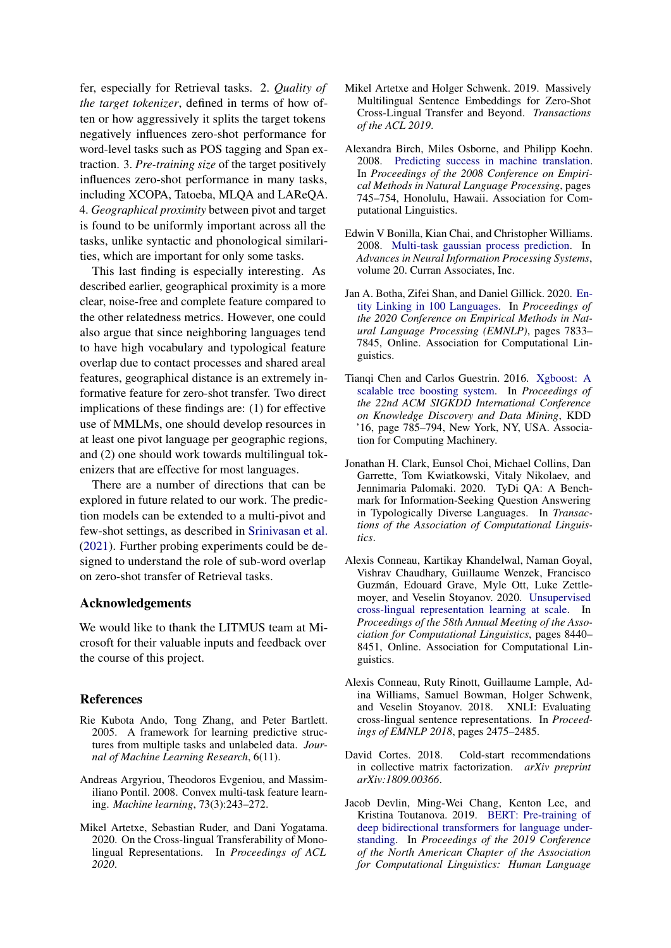fer, especially for Retrieval tasks. 2. *Quality of the target tokenizer*, defined in terms of how often or how aggressively it splits the target tokens negatively influences zero-shot performance for word-level tasks such as POS tagging and Span extraction. 3. *Pre-training size* of the target positively influences zero-shot performance in many tasks, including XCOPA, Tatoeba, MLQA and LAReQA. 4. *Geographical proximity* between pivot and target is found to be uniformly important across all the tasks, unlike syntactic and phonological similarities, which are important for only some tasks.

This last finding is especially interesting. As described earlier, geographical proximity is a more clear, noise-free and complete feature compared to the other relatedness metrics. However, one could also argue that since neighboring languages tend to have high vocabulary and typological feature overlap due to contact processes and shared areal features, geographical distance is an extremely informative feature for zero-shot transfer. Two direct implications of these findings are: (1) for effective use of MMLMs, one should develop resources in at least one pivot language per geographic regions, and (2) one should work towards multilingual tokenizers that are effective for most languages.

There are a number of directions that can be explored in future related to our work. The prediction models can be extended to a multi-pivot and few-shot settings, as described in [Srinivasan et al.](#page-10-2) [\(2021\)](#page-10-2). Further probing experiments could be designed to understand the role of sub-word overlap on zero-shot transfer of Retrieval tasks.

# Acknowledgements

We would like to thank the LITMUS team at Microsoft for their valuable inputs and feedback over the course of this project.

# **References**

- <span id="page-8-9"></span>Rie Kubota Ando, Tong Zhang, and Peter Bartlett. 2005. A framework for learning predictive structures from multiple tasks and unlabeled data. *Journal of Machine Learning Research*, 6(11).
- <span id="page-8-8"></span>Andreas Argyriou, Theodoros Evgeniou, and Massimiliano Pontil. 2008. Convex multi-task feature learning. *Machine learning*, 73(3):243–272.
- <span id="page-8-5"></span>Mikel Artetxe, Sebastian Ruder, and Dani Yogatama. 2020. On the Cross-lingual Transferability of Monolingual Representations. In *Proceedings of ACL 2020*.
- <span id="page-8-11"></span>Mikel Artetxe and Holger Schwenk. 2019. Massively Multilingual Sentence Embeddings for Zero-Shot Cross-Lingual Transfer and Beyond. *Transactions of the ACL 2019*.
- <span id="page-8-6"></span>Alexandra Birch, Miles Osborne, and Philipp Koehn. 2008. [Predicting success in machine translation.](https://aclanthology.org/D08-1078) In *Proceedings of the 2008 Conference on Empirical Methods in Natural Language Processing*, pages 745–754, Honolulu, Hawaii. Association for Computational Linguistics.
- <span id="page-8-3"></span>Edwin V Bonilla, Kian Chai, and Christopher Williams. 2008. [Multi-task gaussian process prediction.](https://proceedings.neurips.cc/paper/2007/file/66368270ffd51418ec58bd793f2d9b1b-Paper.pdf) In *Advances in Neural Information Processing Systems*, volume 20. Curran Associates, Inc.
- <span id="page-8-12"></span>Jan A. Botha, Zifei Shan, and Daniel Gillick. 2020. [En](https://doi.org/10.18653/v1/2020.emnlp-main.630)[tity Linking in 100 Languages.](https://doi.org/10.18653/v1/2020.emnlp-main.630) In *Proceedings of the 2020 Conference on Empirical Methods in Natural Language Processing (EMNLP)*, pages 7833– 7845, Online. Association for Computational Linguistics.
- <span id="page-8-7"></span>Tianqi Chen and Carlos Guestrin. 2016. [Xgboost: A](https://doi.org/10.1145/2939672.2939785) [scalable tree boosting system.](https://doi.org/10.1145/2939672.2939785) In *Proceedings of the 22nd ACM SIGKDD International Conference on Knowledge Discovery and Data Mining*, KDD '16, page 785–794, New York, NY, USA. Association for Computing Machinery.
- <span id="page-8-10"></span>Jonathan H. Clark, Eunsol Choi, Michael Collins, Dan Garrette, Tom Kwiatkowski, Vitaly Nikolaev, and Jennimaria Palomaki. 2020. TyDi QA: A Benchmark for Information-Seeking Question Answering in Typologically Diverse Languages. In *Transactions of the Association of Computational Linguistics*.
- <span id="page-8-1"></span>Alexis Conneau, Kartikay Khandelwal, Naman Goyal, Vishrav Chaudhary, Guillaume Wenzek, Francisco Guzmán, Edouard Grave, Myle Ott, Luke Zettlemoyer, and Veselin Stoyanov. 2020. [Unsupervised](https://doi.org/10.18653/v1/2020.acl-main.747) [cross-lingual representation learning at scale.](https://doi.org/10.18653/v1/2020.acl-main.747) In *Proceedings of the 58th Annual Meeting of the Association for Computational Linguistics*, pages 8440– 8451, Online. Association for Computational Linguistics.
- <span id="page-8-4"></span>Alexis Conneau, Ruty Rinott, Guillaume Lample, Adina Williams, Samuel Bowman, Holger Schwenk, and Veselin Stoyanov. 2018. XNLI: Evaluating cross-lingual sentence representations. In *Proceedings of EMNLP 2018*, pages 2475–2485.
- <span id="page-8-2"></span>David Cortes. 2018. Cold-start recommendations in collective matrix factorization. *arXiv preprint arXiv:1809.00366*.
- <span id="page-8-0"></span>Jacob Devlin, Ming-Wei Chang, Kenton Lee, and Kristina Toutanova. 2019. [BERT: Pre-training of](https://doi.org/10.18653/v1/N19-1423) [deep bidirectional transformers for language under](https://doi.org/10.18653/v1/N19-1423)[standing.](https://doi.org/10.18653/v1/N19-1423) In *Proceedings of the 2019 Conference of the North American Chapter of the Association for Computational Linguistics: Human Language*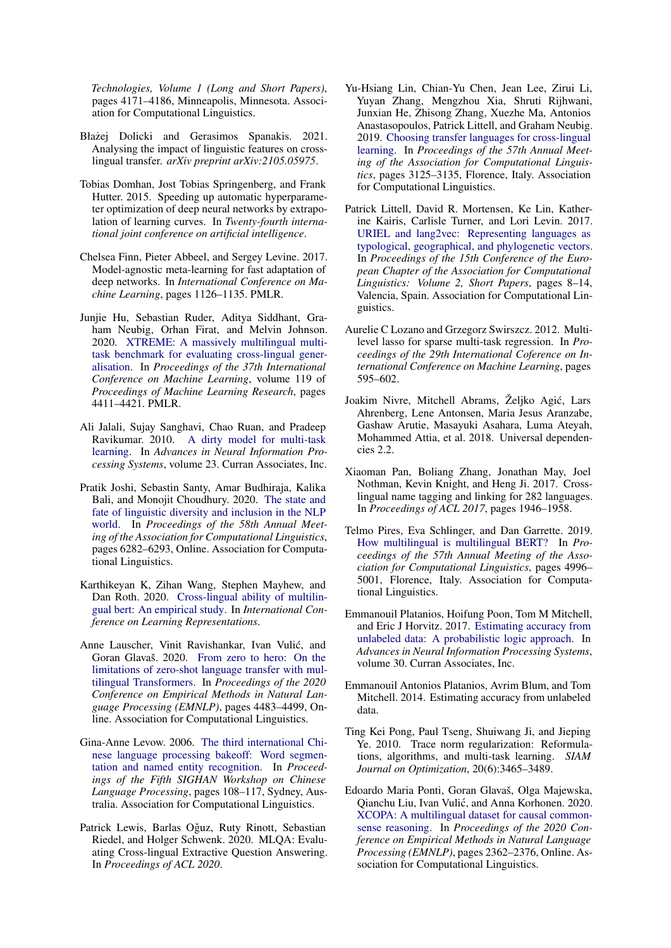*Technologies, Volume 1 (Long and Short Papers)*, pages 4171–4186, Minneapolis, Minnesota. Association for Computational Linguistics.

- <span id="page-9-3"></span>Błażej Dolicki and Gerasimos Spanakis. 2021. Analysing the impact of linguistic features on crosslingual transfer. *arXiv preprint arXiv:2105.05975*.
- <span id="page-9-9"></span>Tobias Domhan, Jost Tobias Springenberg, and Frank Hutter. 2015. Speeding up automatic hyperparameter optimization of deep neural networks by extrapolation of learning curves. In *Twenty-fourth international joint conference on artificial intelligence*.
- <span id="page-9-4"></span>Chelsea Finn, Pieter Abbeel, and Sergey Levine. 2017. Model-agnostic meta-learning for fast adaptation of deep networks. In *International Conference on Machine Learning*, pages 1126–1135. PMLR.
- <span id="page-9-16"></span>Junjie Hu, Sebastian Ruder, Aditya Siddhant, Graham Neubig, Orhan Firat, and Melvin Johnson. 2020. [XTREME: A massively multilingual multi](https://proceedings.mlr.press/v119/hu20b.html)[task benchmark for evaluating cross-lingual gener](https://proceedings.mlr.press/v119/hu20b.html)[alisation.](https://proceedings.mlr.press/v119/hu20b.html) In *Proceedings of the 37th International Conference on Machine Learning*, volume 119 of *Proceedings of Machine Learning Research*, pages 4411–4421. PMLR.
- <span id="page-9-12"></span>Ali Jalali, Sujay Sanghavi, Chao Ruan, and Pradeep Ravikumar. 2010. [A dirty model for multi-task](https://proceedings.neurips.cc/paper/2010/file/00e26af6ac3b1c1c49d7c3d79c60d000-Paper.pdf) [learning.](https://proceedings.neurips.cc/paper/2010/file/00e26af6ac3b1c1c49d7c3d79c60d000-Paper.pdf) In *Advances in Neural Information Processing Systems*, volume 23. Curran Associates, Inc.
- <span id="page-9-15"></span>Pratik Joshi, Sebastin Santy, Amar Budhiraja, Kalika Bali, and Monojit Choudhury. 2020. [The state and](https://doi.org/10.18653/v1/2020.acl-main.560) [fate of linguistic diversity and inclusion in the NLP](https://doi.org/10.18653/v1/2020.acl-main.560) [world.](https://doi.org/10.18653/v1/2020.acl-main.560) In *Proceedings of the 58th Annual Meeting of the Association for Computational Linguistics*, pages 6282–6293, Online. Association for Computational Linguistics.
- <span id="page-9-2"></span>Karthikeyan K, Zihan Wang, Stephen Mayhew, and Dan Roth. 2020. [Cross-lingual ability of multilin](https://openreview.net/forum?id=HJeT3yrtDr)[gual bert: An empirical study.](https://openreview.net/forum?id=HJeT3yrtDr) In *International Conference on Learning Representations*.
- <span id="page-9-1"></span>Anne Lauscher, Vinit Ravishankar, Ivan Vulic, and ´ Goran Glavaš. 2020. [From zero to hero: On the](https://doi.org/10.18653/v1/2020.emnlp-main.363) [limitations of zero-shot language transfer with mul](https://doi.org/10.18653/v1/2020.emnlp-main.363)[tilingual Transformers.](https://doi.org/10.18653/v1/2020.emnlp-main.363) In *Proceedings of the 2020 Conference on Empirical Methods in Natural Language Processing (EMNLP)*, pages 4483–4499, Online. Association for Computational Linguistics.
- <span id="page-9-5"></span>Gina-Anne Levow. 2006. [The third international Chi](https://aclanthology.org/W06-0115)[nese language processing bakeoff: Word segmen](https://aclanthology.org/W06-0115)[tation and named entity recognition.](https://aclanthology.org/W06-0115) In *Proceedings of the Fifth SIGHAN Workshop on Chinese Language Processing*, pages 108–117, Sydney, Australia. Association for Computational Linguistics.
- <span id="page-9-19"></span>Patrick Lewis, Barlas Oğuz, Ruty Rinott, Sebastian Riedel, and Holger Schwenk. 2020. MLQA: Evaluating Cross-lingual Extractive Question Answering. In *Proceedings of ACL 2020*.
- <span id="page-9-10"></span>Yu-Hsiang Lin, Chian-Yu Chen, Jean Lee, Zirui Li, Yuyan Zhang, Mengzhou Xia, Shruti Rijhwani, Junxian He, Zhisong Zhang, Xuezhe Ma, Antonios Anastasopoulos, Patrick Littell, and Graham Neubig. 2019. [Choosing transfer languages for cross-lingual](https://doi.org/10.18653/v1/P19-1301) [learning.](https://doi.org/10.18653/v1/P19-1301) In *Proceedings of the 57th Annual Meeting of the Association for Computational Linguistics*, pages 3125–3135, Florence, Italy. Association for Computational Linguistics.
- <span id="page-9-11"></span>Patrick Littell, David R. Mortensen, Ke Lin, Katherine Kairis, Carlisle Turner, and Lori Levin. 2017. [URIEL and lang2vec: Representing languages as](https://aclanthology.org/E17-2002) [typological, geographical, and phylogenetic vectors.](https://aclanthology.org/E17-2002) In *Proceedings of the 15th Conference of the European Chapter of the Association for Computational Linguistics: Volume 2, Short Papers*, pages 8–14, Valencia, Spain. Association for Computational Linguistics.
- <span id="page-9-13"></span>Aurelie C Lozano and Grzegorz Swirszcz. 2012. Multilevel lasso for sparse multi-task regression. In *Proceedings of the 29th International Coference on International Conference on Machine Learning*, pages 595–602.
- <span id="page-9-6"></span>Joakim Nivre, Mitchell Abrams, Željko Agic, Lars ´ Ahrenberg, Lene Antonsen, Maria Jesus Aranzabe, Gashaw Arutie, Masayuki Asahara, Luma Ateyah, Mohammed Attia, et al. 2018. Universal dependencies 2.2.
- <span id="page-9-18"></span>Xiaoman Pan, Boliang Zhang, Jonathan May, Joel Nothman, Kevin Knight, and Heng Ji. 2017. Crosslingual name tagging and linking for 282 languages. In *Proceedings of ACL 2017*, pages 1946–1958.
- <span id="page-9-0"></span>Telmo Pires, Eva Schlinger, and Dan Garrette. 2019. [How multilingual is multilingual BERT?](https://doi.org/10.18653/v1/P19-1493) In *Proceedings of the 57th Annual Meeting of the Association for Computational Linguistics*, pages 4996– 5001, Florence, Italy. Association for Computational Linguistics.
- <span id="page-9-8"></span>Emmanouil Platanios, Hoifung Poon, Tom M Mitchell, and Eric J Horvitz. 2017. [Estimating accuracy from](https://proceedings.neurips.cc/paper/2017/file/95f8d9901ca8878e291552f001f67692-Paper.pdf) [unlabeled data: A probabilistic logic approach.](https://proceedings.neurips.cc/paper/2017/file/95f8d9901ca8878e291552f001f67692-Paper.pdf) In *Advances in Neural Information Processing Systems*, volume 30. Curran Associates, Inc.
- <span id="page-9-7"></span>Emmanouil Antonios Platanios, Avrim Blum, and Tom Mitchell. 2014. Estimating accuracy from unlabeled data.
- <span id="page-9-14"></span>Ting Kei Pong, Paul Tseng, Shuiwang Ji, and Jieping Ye. 2010. Trace norm regularization: Reformulations, algorithms, and multi-task learning. *SIAM Journal on Optimization*, 20(6):3465–3489.
- <span id="page-9-17"></span>Edoardo Maria Ponti, Goran Glavaš, Olga Majewska, Qianchu Liu, Ivan Vulić, and Anna Korhonen. 2020. [XCOPA: A multilingual dataset for causal common](https://doi.org/10.18653/v1/2020.emnlp-main.185)[sense reasoning.](https://doi.org/10.18653/v1/2020.emnlp-main.185) In *Proceedings of the 2020 Conference on Empirical Methods in Natural Language Processing (EMNLP)*, pages 2362–2376, Online. Association for Computational Linguistics.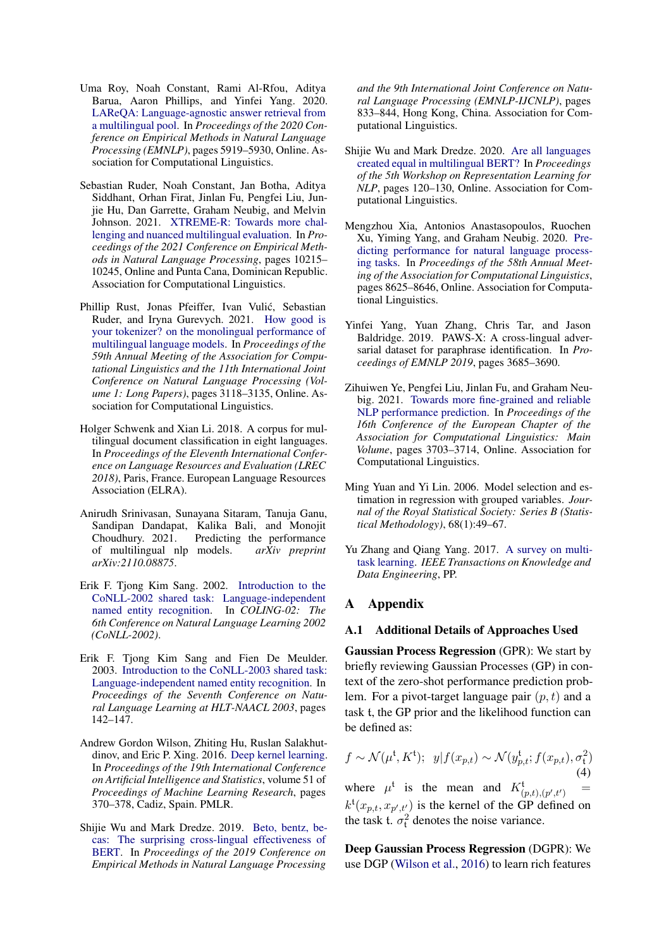- <span id="page-10-15"></span>Uma Roy, Noah Constant, Rami Al-Rfou, Aditya Barua, Aaron Phillips, and Yinfei Yang. 2020. [LAReQA: Language-agnostic answer retrieval from](https://doi.org/10.18653/v1/2020.emnlp-main.477) [a multilingual pool.](https://doi.org/10.18653/v1/2020.emnlp-main.477) In *Proceedings of the 2020 Conference on Empirical Methods in Natural Language Processing (EMNLP)*, pages 5919–5930, Online. Association for Computational Linguistics.
- <span id="page-10-3"></span>Sebastian Ruder, Noah Constant, Jan Botha, Aditya Siddhant, Orhan Firat, Jinlan Fu, Pengfei Liu, Junjie Hu, Dan Garrette, Graham Neubig, and Melvin Johnson. 2021. [XTREME-R: Towards more chal](https://doi.org/10.18653/v1/2021.emnlp-main.802)[lenging and nuanced multilingual evaluation.](https://doi.org/10.18653/v1/2021.emnlp-main.802) In *Proceedings of the 2021 Conference on Empirical Methods in Natural Language Processing*, pages 10215– 10245, Online and Punta Cana, Dominican Republic. Association for Computational Linguistics.
- <span id="page-10-6"></span>Phillip Rust, Jonas Pfeiffer, Ivan Vulic, Sebastian ´ Ruder, and Iryna Gurevych. 2021. [How good is](https://doi.org/10.18653/v1/2021.acl-long.243) [your tokenizer? on the monolingual performance of](https://doi.org/10.18653/v1/2021.acl-long.243) [multilingual language models.](https://doi.org/10.18653/v1/2021.acl-long.243) In *Proceedings of the 59th Annual Meeting of the Association for Computational Linguistics and the 11th International Joint Conference on Natural Language Processing (Volume 1: Long Papers)*, pages 3118–3135, Online. Association for Computational Linguistics.
- <span id="page-10-9"></span>Holger Schwenk and Xian Li. 2018. A corpus for multilingual document classification in eight languages. In *Proceedings of the Eleventh International Conference on Language Resources and Evaluation (LREC 2018)*, Paris, France. European Language Resources Association (ELRA).
- <span id="page-10-2"></span>Anirudh Srinivasan, Sunayana Sitaram, Tanuja Ganu, Sandipan Dandapat, Kalika Bali, and Monojit Choudhury. 2021. Predicting the performance of multilingual nlp models. *arXiv preprint arXiv:2110.08875*.
- <span id="page-10-7"></span>Erik F. Tjong Kim Sang. 2002. [Introduction to the](https://aclanthology.org/W02-2024) [CoNLL-2002 shared task: Language-independent](https://aclanthology.org/W02-2024) [named entity recognition.](https://aclanthology.org/W02-2024) In *COLING-02: The 6th Conference on Natural Language Learning 2002 (CoNLL-2002)*.
- <span id="page-10-8"></span>Erik F. Tjong Kim Sang and Fien De Meulder. 2003. [Introduction to the CoNLL-2003 shared task:](https://aclanthology.org/W03-0419) [Language-independent named entity recognition.](https://aclanthology.org/W03-0419) In *Proceedings of the Seventh Conference on Natural Language Learning at HLT-NAACL 2003*, pages 142–147.
- <span id="page-10-12"></span>Andrew Gordon Wilson, Zhiting Hu, Ruslan Salakhutdinov, and Eric P. Xing. 2016. [Deep kernel learning.](https://proceedings.mlr.press/v51/wilson16.html) In *Proceedings of the 19th International Conference on Artificial Intelligence and Statistics*, volume 51 of *Proceedings of Machine Learning Research*, pages 370–378, Cadiz, Spain. PMLR.
- <span id="page-10-0"></span>Shijie Wu and Mark Dredze. 2019. [Beto, bentz, be](https://doi.org/10.18653/v1/D19-1077)[cas: The surprising cross-lingual effectiveness of](https://doi.org/10.18653/v1/D19-1077) [BERT.](https://doi.org/10.18653/v1/D19-1077) In *Proceedings of the 2019 Conference on Empirical Methods in Natural Language Processing*

*and the 9th International Joint Conference on Natural Language Processing (EMNLP-IJCNLP)*, pages 833–844, Hong Kong, China. Association for Computational Linguistics.

- <span id="page-10-1"></span>Shijie Wu and Mark Dredze. 2020. [Are all languages](https://doi.org/10.18653/v1/2020.repl4nlp-1.16) [created equal in multilingual BERT?](https://doi.org/10.18653/v1/2020.repl4nlp-1.16) In *Proceedings of the 5th Workshop on Representation Learning for NLP*, pages 120–130, Online. Association for Computational Linguistics.
- <span id="page-10-10"></span>Mengzhou Xia, Antonios Anastasopoulos, Ruochen Xu, Yiming Yang, and Graham Neubig. 2020. [Pre](https://doi.org/10.18653/v1/2020.acl-main.764)[dicting performance for natural language process](https://doi.org/10.18653/v1/2020.acl-main.764)[ing tasks.](https://doi.org/10.18653/v1/2020.acl-main.764) In *Proceedings of the 58th Annual Meeting of the Association for Computational Linguistics*, pages 8625–8646, Online. Association for Computational Linguistics.
- <span id="page-10-14"></span>Yinfei Yang, Yuan Zhang, Chris Tar, and Jason Baldridge. 2019. PAWS-X: A cross-lingual adversarial dataset for paraphrase identification. In *Proceedings of EMNLP 2019*, pages 3685–3690.
- <span id="page-10-11"></span>Zihuiwen Ye, Pengfei Liu, Jinlan Fu, and Graham Neubig. 2021. [Towards more fine-grained and reliable](https://aclanthology.org/2021.eacl-main.324) [NLP performance prediction.](https://aclanthology.org/2021.eacl-main.324) In *Proceedings of the 16th Conference of the European Chapter of the Association for Computational Linguistics: Main Volume*, pages 3703–3714, Online. Association for Computational Linguistics.
- <span id="page-10-5"></span>Ming Yuan and Yi Lin. 2006. Model selection and estimation in regression with grouped variables. *Journal of the Royal Statistical Society: Series B (Statistical Methodology)*, 68(1):49–67.
- <span id="page-10-4"></span>Yu Zhang and Qiang Yang. 2017. [A survey on multi](https://doi.org/10.1109/TKDE.2021.3070203)[task learning.](https://doi.org/10.1109/TKDE.2021.3070203) *IEEE Transactions on Knowledge and Data Engineering*, PP.

# A Appendix

#### <span id="page-10-13"></span>A.1 Additional Details of Approaches Used

Gaussian Process Regression (GPR): We start by briefly reviewing Gaussian Processes (GP) in context of the zero-shot performance prediction problem. For a pivot-target language pair  $(p, t)$  and a task t, the GP prior and the likelihood function can be defined as:

<span id="page-10-16"></span>
$$
f \sim \mathcal{N}(\mu^{\mathfrak{t}}, K^{\mathfrak{t}}); \ \ y|f(x_{p,t}) \sim \mathcal{N}(y_{p,t}^{\mathfrak{t}}; f(x_{p,t}), \sigma_{\mathfrak{t}}^2)
$$
\n(4)

where  $\mu^t$  is the mean and  $K^t_{(p,t),(p',t')}$  =  $k^{\mathfrak{t}}(x_{p,t}, x_{p',t'})$  is the kernel of the GP defined on the task t.  $\sigma_t^2$  denotes the noise variance.

Deep Gaussian Process Regression (DGPR): We use DGP [\(Wilson et al.,](#page-10-12) [2016\)](#page-10-12) to learn rich features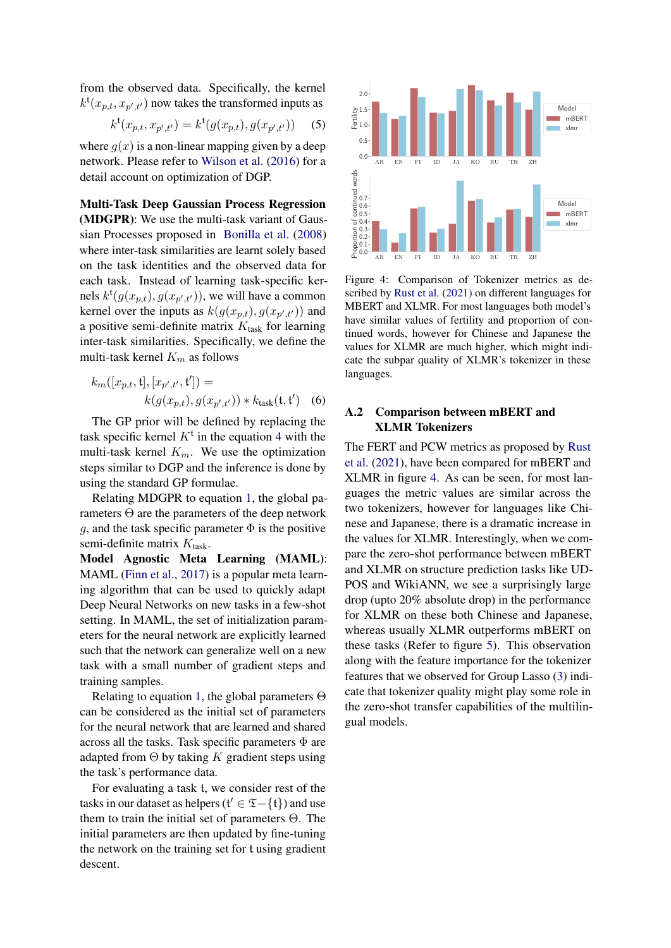from the observed data. Specifically, the kernel  $k^{\mathfrak{t}}(x_{p,t}, x_{p',t'})$  now takes the transformed inputs as

$$
k^{\mathfrak{t}}(x_{p,t}, x_{p',t'}) = k^{\mathfrak{t}}(g(x_{p,t}), g(x_{p',t'}))
$$
 (5)

where  $g(x)$  is a non-linear mapping given by a deep network. Please refer to [Wilson et al.](#page-10-12) [\(2016\)](#page-10-12) for a detail account on optimization of DGP.

Multi-Task Deep Gaussian Process Regression (MDGPR): We use the multi-task variant of Gaussian Processes proposed in [Bonilla et al.](#page-8-3) [\(2008\)](#page-8-3) where inter-task similarities are learnt solely based on the task identities and the observed data for each task. Instead of learning task-specific kernels  $k^{\mathfrak{t}}(g(x_{p,t}), g(x_{p',t'}))$ , we will have a common kernel over the inputs as  $k(g(x_{p,t}), g(x_{p',t'}))$  and a positive semi-definite matrix  $K_{task}$  for learning inter-task similarities. Specifically, we define the multi-task kernel  $K_m$  as follows

$$
k_m([x_{p,t}, \mathfrak{t}], [x_{p',t'}, \mathfrak{t}']) =
$$
  

$$
k(g(x_{p,t}), g(x_{p',t'})) * k_{\text{task}}(\mathfrak{t}, \mathfrak{t}') \quad (6)
$$

The GP prior will be defined by replacing the task specific kernel  $K^{\dagger}$  in the equation [4](#page-10-16) with the multi-task kernel  $K_m$ . We use the optimization steps similar to DGP and the inference is done by using the standard GP formulae.

Relating MDGPR to equation [1,](#page-2-2) the global parameters  $\Theta$  are the parameters of the deep network g, and the task specific parameter  $\Phi$  is the positive semi-definite matrix  $K_{task}$ .

Model Agnostic Meta Learning (MAML): MAML [\(Finn et al.,](#page-9-4) [2017\)](#page-9-4) is a popular meta learning algorithm that can be used to quickly adapt Deep Neural Networks on new tasks in a few-shot setting. In MAML, the set of initialization parameters for the neural network are explicitly learned such that the network can generalize well on a new task with a small number of gradient steps and training samples.

Relating to equation [1,](#page-2-2) the global parameters  $\Theta$ can be considered as the initial set of parameters for the neural network that are learned and shared across all the tasks. Task specific parameters  $\Phi$  are adapted from  $\Theta$  by taking K gradient steps using the task's performance data.

For evaluating a task t, we consider rest of the tasks in our dataset as helpers ( $f' \in \mathfrak{T} - \{t\}$ ) and use them to train the initial set of parameters Θ. The initial parameters are then updated by fine-tuning the network on the training set for t using gradient descent.

<span id="page-11-1"></span>

Figure 4: Comparison of Tokenizer metrics as described by [Rust et al.](#page-10-6) [\(2021\)](#page-10-6) on different languages for MBERT and XLMR. For most languages both model's have similar values of fertility and proportion of continued words, however for Chinese and Japanese the values for XLMR are much higher, which might indicate the subpar quality of XLMR's tokenizer in these languages.

# <span id="page-11-0"></span>A.2 Comparison between mBERT and XLMR Tokenizers

The FERT and PCW metrics as proposed by [Rust](#page-10-6) [et al.](#page-10-6) [\(2021\)](#page-10-6), have been compared for mBERT and XLMR in figure [4.](#page-11-1) As can be seen, for most languages the metric values are similar across the two tokenizers, however for languages like Chinese and Japanese, there is a dramatic increase in the values for XLMR. Interestingly, when we compare the zero-shot performance between mBERT and XLMR on structure prediction tasks like UD-POS and WikiANN, we see a surprisingly large drop (upto 20% absolute drop) in the performance for XLMR on these both Chinese and Japanese, whereas usually XLMR outperforms mBERT on these tasks (Refer to figure [5\)](#page-12-3). This observation along with the feature importance for the tokenizer features that we observed for Group Lasso [\(3\)](#page-6-2) indicate that tokenizer quality might play some role in the zero-shot transfer capabilities of the multilingual models.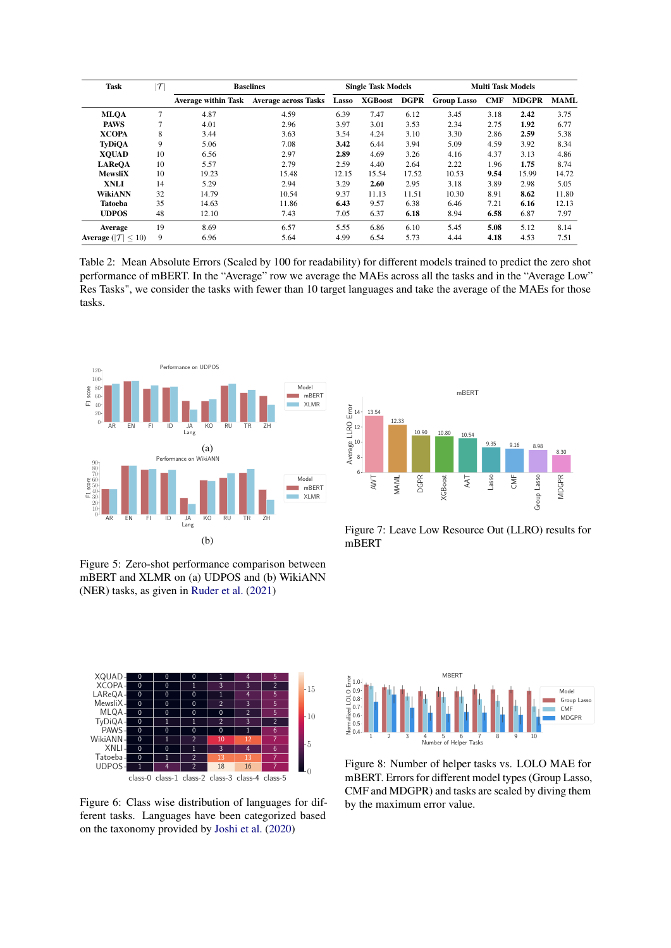<span id="page-12-0"></span>

| <b>Task</b>                             | $\vert\mathcal{T}\vert$ | <b>Baselines</b>           | <b>Single Task Models</b>   |       |                | <b>Multi Task Models</b> |                    |            |              |             |
|-----------------------------------------|-------------------------|----------------------------|-----------------------------|-------|----------------|--------------------------|--------------------|------------|--------------|-------------|
|                                         |                         | <b>Average within Task</b> | <b>Average across Tasks</b> | Lasso | <b>XGBoost</b> | DGPR                     | <b>Group Lasso</b> | <b>CMF</b> | <b>MDGPR</b> | <b>MAML</b> |
| <b>MLOA</b>                             | 7                       | 4.87                       | 4.59                        | 6.39  | 7.47           | 6.12                     | 3.45               | 3.18       | 2.42         | 3.75        |
| <b>PAWS</b>                             | 7                       | 4.01                       | 2.96                        | 3.97  | 3.01           | 3.53                     | 2.34               | 2.75       | 1.92         | 6.77        |
| <b>XCOPA</b>                            | 8                       | 3.44                       | 3.63                        | 3.54  | 4.24           | 3.10                     | 3.30               | 2.86       | 2.59         | 5.38        |
| <b>TyDiOA</b>                           | 9                       | 5.06                       | 7.08                        | 3.42  | 6.44           | 3.94                     | 5.09               | 4.59       | 3.92         | 8.34        |
| <b>XOUAD</b>                            | 10                      | 6.56                       | 2.97                        | 2.89  | 4.69           | 3.26                     | 4.16               | 4.37       | 3.13         | 4.86        |
| <b>LAReOA</b>                           | 10                      | 5.57                       | 2.79                        | 2.59  | 4.40           | 2.64                     | 2.22               | 1.96       | 1.75         | 8.74        |
| <b>MewsliX</b>                          | 10                      | 19.23                      | 15.48                       | 12.15 | 15.54          | 17.52                    | 10.53              | 9.54       | 15.99        | 14.72       |
| <b>XNLI</b>                             | 14                      | 5.29                       | 2.94                        | 3.29  | 2.60           | 2.95                     | 3.18               | 3.89       | 2.98         | 5.05        |
| <b>WikiANN</b>                          | 32                      | 14.79                      | 10.54                       | 9.37  | 11.13          | 11.51                    | 10.30              | 8.91       | 8.62         | 11.80       |
| <b>Tatoeba</b>                          | 35                      | 14.63                      | 11.86                       | 6.43  | 9.57           | 6.38                     | 6.46               | 7.21       | 6.16         | 12.13       |
| <b>UDPOS</b>                            | 48                      | 12.10                      | 7.43                        | 7.05  | 6.37           | 6.18                     | 8.94               | 6.58       | 6.87         | 7.97        |
| Average                                 | 19                      | 8.69                       | 6.57                        | 5.55  | 6.86           | 6.10                     | 5.45               | 5.08       | 5.12         | 8.14        |
| <b>Average</b> ( $ \mathcal{T}  < 10$ ) | 9                       | 6.96                       | 5.64                        | 4.99  | 6.54           | 5.73                     | 4.44               | 4.18       | 4.53         | 7.51        |

Table 2: Mean Absolute Errors (Scaled by 100 for readability) for different models trained to predict the zero shot performance of mBERT. In the "Average" row we average the MAEs across all the tasks and in the "Average Low" Res Tasks", we consider the tasks with fewer than 10 target languages and take the average of the MAEs for those tasks.

<span id="page-12-3"></span>

<span id="page-12-1"></span>Figure 5: Zero-shot performance comparison between mBERT and XLMR on (a) UDPOS and (b) WikiANN (NER) tasks, as given in [Ruder et al.](#page-10-3) [\(2021\)](#page-10-3)

<span id="page-12-2"></span>

Figure 7: Leave Low Resource Out (LLRO) results for mBERT



Figure 6: Class wise distribution of languages for different tasks. Languages have been categorized based



Figure 8: Number of helper tasks vs. LOLO MAE for mBERT. Errors for different model types (Group Lasso, CMF and MDGPR) and tasks are scaled by diving them by the maximum error value.